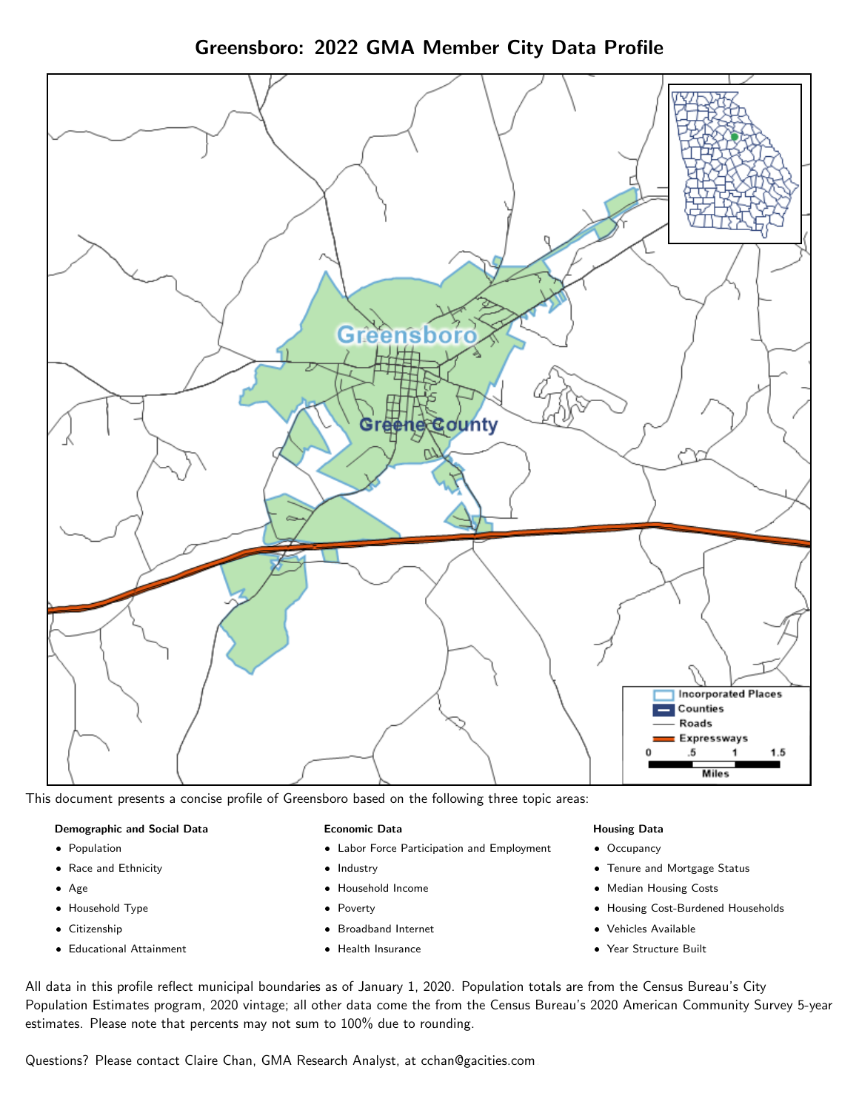## Greensboro: 2022 GMA Member City Data Profile



This document presents a concise profile of Greensboro based on the following three topic areas:

#### Demographic and Social Data

- **•** Population
- Race and Ethnicity
- Age
- Household Type
- **Citizenship**
- Educational Attainment

#### Economic Data

- Labor Force Participation and Employment
- Industry
- Household Income
- Poverty
- Broadband Internet
- Health Insurance

#### Housing Data

- Occupancy
- Tenure and Mortgage Status
- Median Housing Costs
- Housing Cost-Burdened Households
- Vehicles Available
- Year Structure Built

All data in this profile reflect municipal boundaries as of January 1, 2020. Population totals are from the Census Bureau's City Population Estimates program, 2020 vintage; all other data come the from the Census Bureau's 2020 American Community Survey 5-year estimates. Please note that percents may not sum to 100% due to rounding.

Questions? Please contact Claire Chan, GMA Research Analyst, at [cchan@gacities.com.](mailto:cchan@gacities.com)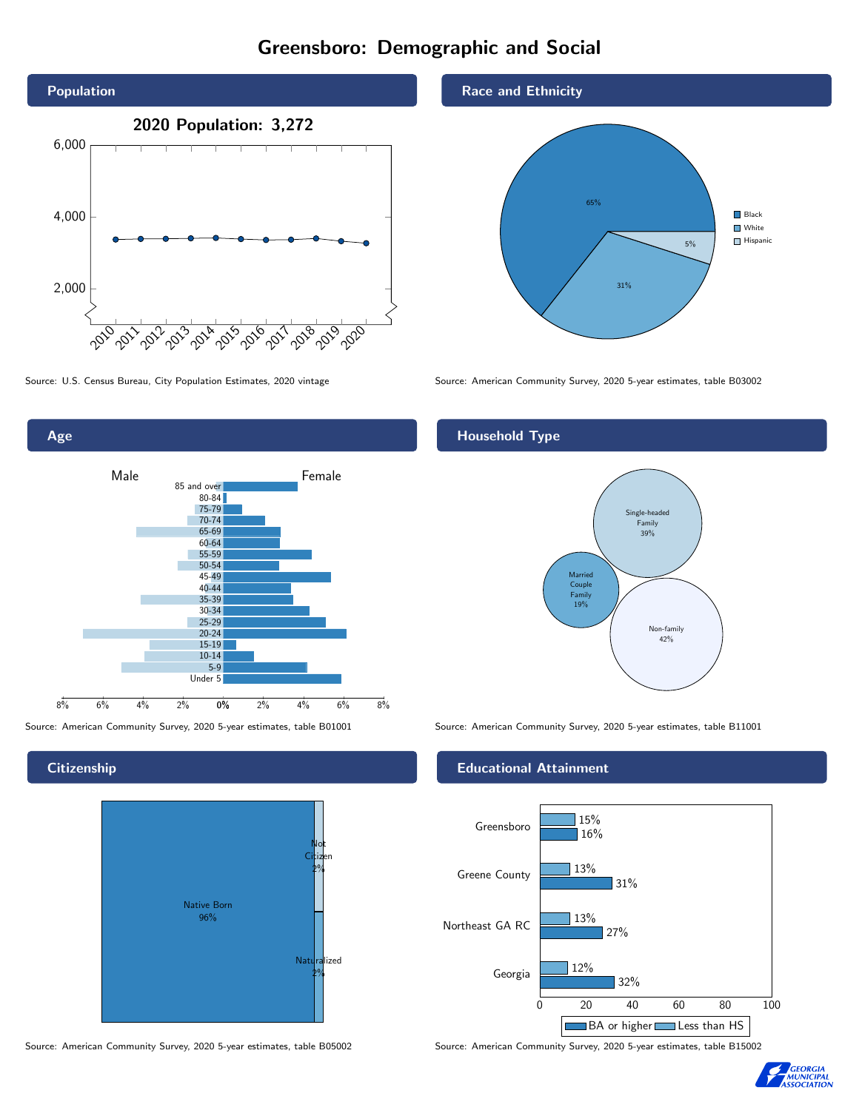# Greensboro: Demographic and Social



Age 0% 2% 4% 6% 8% Male **Female** 8% 6% 4% 2% 85 and over 80-84 75-79 70-74 65-69 60-64 55-59 50-54 45-49 40-44 35-39 30-34 25-29 20-24 15-19 10-14 5-9 Under 5

**Citizenship** 



Source: American Community Survey, 2020 5-year estimates, table B05002 Source: American Community Survey, 2020 5-year estimates, table B15002

Race and Ethnicity



Source: U.S. Census Bureau, City Population Estimates, 2020 vintage Source: American Community Survey, 2020 5-year estimates, table B03002

### Household Type



Source: American Community Survey, 2020 5-year estimates, table B01001 Source: American Community Survey, 2020 5-year estimates, table B11001

#### Educational Attainment



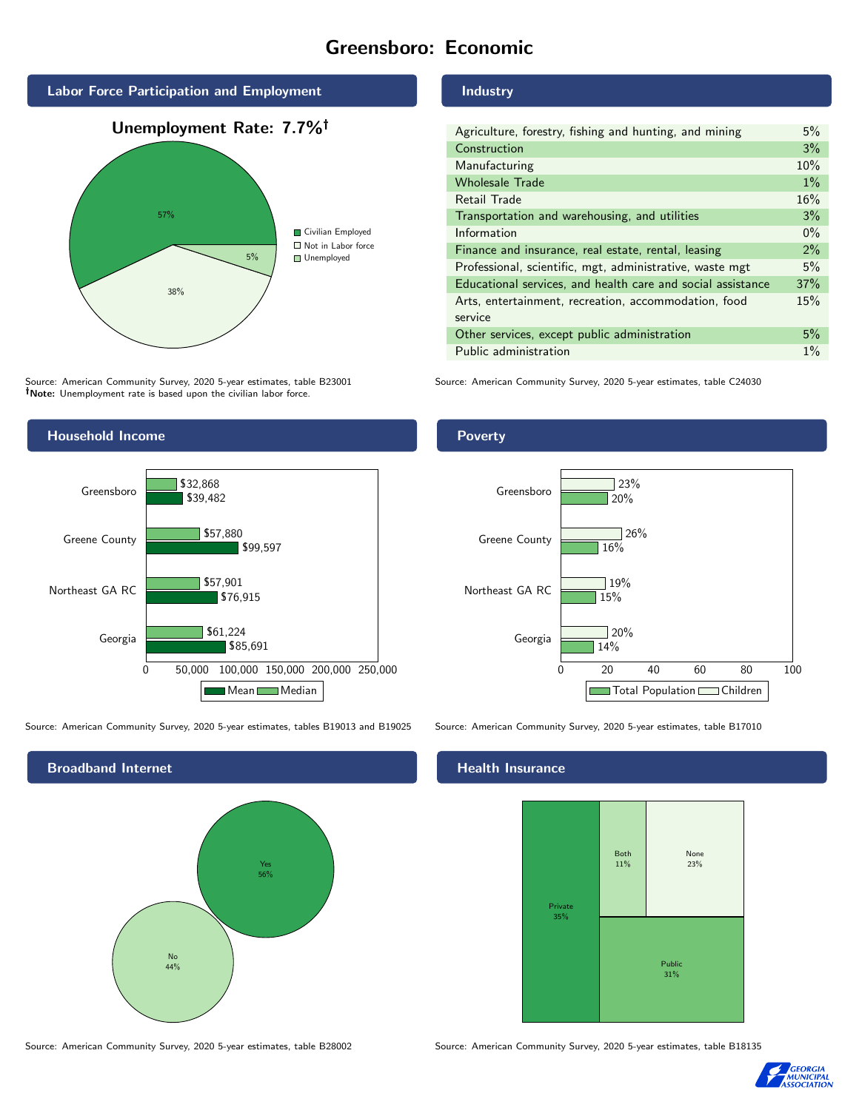## Greensboro: Economic



Source: American Community Survey, 2020 5-year estimates, table B23001 Note: Unemployment rate is based upon the civilian labor force.

#### Industry

| Agriculture, forestry, fishing and hunting, and mining      | 5%    |
|-------------------------------------------------------------|-------|
| Construction                                                | 3%    |
| Manufacturing                                               | 10%   |
| <b>Wholesale Trade</b>                                      | $1\%$ |
| Retail Trade                                                | 16%   |
| Transportation and warehousing, and utilities               | 3%    |
| Information                                                 | $0\%$ |
| Finance and insurance, real estate, rental, leasing         | 2%    |
| Professional, scientific, mgt, administrative, waste mgt    | 5%    |
| Educational services, and health care and social assistance | 37%   |
| Arts, entertainment, recreation, accommodation, food        | 15%   |
| service                                                     |       |
| Other services, except public administration                | 5%    |
| Public administration                                       | $1\%$ |

Source: American Community Survey, 2020 5-year estimates, table C24030



Source: American Community Survey, 2020 5-year estimates, tables B19013 and B19025 Source: American Community Survey, 2020 5-year estimates, table B17010



Source: American Community Survey, 2020 5-year estimates, table B28002 Source: American Community Survey, 2020 5-year estimates, table B18135

Poverty



#### **Health Insurance**